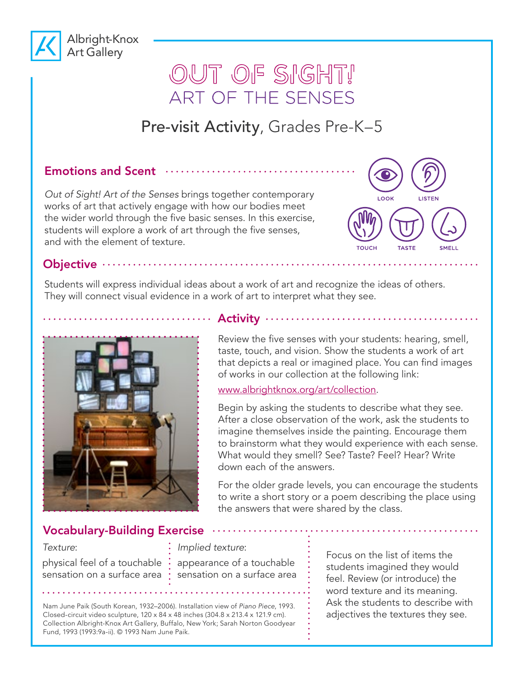

# OUT OF SIGHT! ART OF THE SENSES

## Pre-visit Activity, Grades Pre-K–5

### Emotions and Scent  $\cdots$

*Out of Sight! Art of the Senses* brings together contemporary works of art that actively engage with how our bodies meet the wider world through the five basic senses. In this exercise, students will explore a work of art through the five senses, and with the element of texture.

**COUCH TASTE** SMELL

Objective ······

Students will express individual ideas about a work of art and recognize the ideas of others. They will connect visual evidence in a work of art to interpret what they see.



#### .............. Activity .................................

Review the five senses with your students: hearing, smell, taste, touch, and vision. Show the students a work of art that depicts a real or imagined place. You can find images of works in our collection at the following link:

www.albrightknox.org/art/collection.

Begin by asking the students to describe what they see. After a close observation of the work, ask the students to imagine themselves inside the painting. Encourage them to brainstorm what they would experience with each sense. What would they smell? See? Taste? Feel? Hear? Write down each of the answers.

For the older grade levels, you can encourage the students to write a short story or a poem describing the place using the answers that were shared by the class.

### Vocabulary-Building Exercise

#### *Texture*:

sensation on a surface area

. . . . . . . . . .

*Implied texture*:

physical feel of a touchable  $\cdot$  appearance of a touchable sensation on a surface area Focus on the list of items the students imagined they would feel. Review (or introduce) the word texture and its meaning. Ask the students to describe with adjectives the textures they see.

Nam June Paik (South Korean, 1932–2006). Installation view of *Piano Piece*, 1993. Closed-circuit video sculpture, 120 x 84 x 48 inches (304.8 x 213.4 x 121.9 cm). Collection Albright-Knox Art Gallery, Buffalo, New York; Sarah Norton Goodyear Fund, 1993 (1993:9a-ii). © 1993 Nam June Paik.